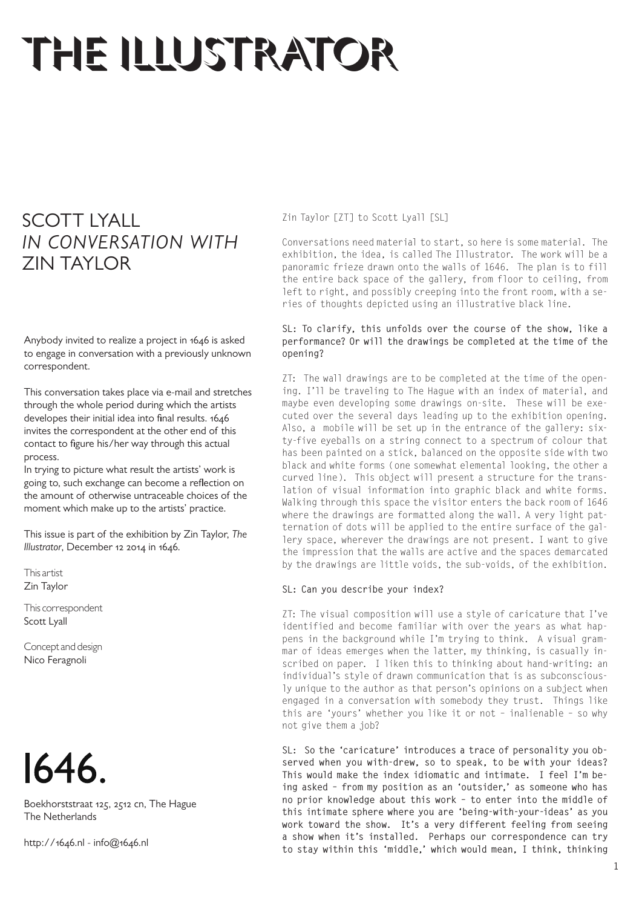# THE ILLUSTRATOR

# SCOTT LYALL *IN CONVERSATION WITH* ZIN TAYLOR

Anybody invited to realize a project in 1646 is asked to engage in conversation with a previously unknown correspondent.

This conversation takes place via e-mail and stretches through the whole period during which the artists developes their initial idea into final results. 1646 invites the correspondent at the other end of this contact to figure his/her way through this actual process.

In trying to picture what result the artists' work is going to, such exchange can become a reflection on the amount of otherwise untraceable choices of the moment which make up to the artists' practice.

This issue is part of the exhibition by Zin Taylor, *The Illustrator*, December 12 2014 in 1646.

This artist Zin Taylor

This correspondent Scott Lyall

Concept and design Nico Feragnoli



Boekhorststraat 125, 2512 cn, The Hague The Netherlands

http://1646.nl - info@1646.nl

Zin Taylor [ZT] to Scott Lyall [SL]

Conversations need material to start, so here is some material. The exhibition, the idea, is called The Illustrator. The work will be a panoramic frieze drawn onto the walls of 1646. The plan is to fill the entire back space of the gallery, from floor to ceiling, from left to right, and possibly creeping into the front room, with a series of thoughts depicted using an illustrative black line.

# **SL: To clarify, this unfolds over the course of the show, like a performance? Or will the drawings be completed at the time of the opening?**

ZT: The wall drawings are to be completed at the time of the opening. I'll be traveling to The Hague with an index of material, and maybe even developing some drawings on-site. These will be executed over the several days leading up to the exhibition opening. Also, a mobile will be set up in the entrance of the gallery: sixty-five eyeballs on a string connect to a spectrum of colour that has been painted on a stick, balanced on the opposite side with two black and white forms (one somewhat elemental looking, the other a curved line). This object will present a structure for the translation of visual information into graphic black and white forms. Walking through this space the visitor enters the back room of 1646 where the drawings are formatted along the wall. A very light patternation of dots will be applied to the entire surface of the gallery space, wherever the drawings are not present. I want to give the impression that the walls are active and the spaces demarcated by the drawings are little voids, the sub-voids, of the exhibition.

# **SL: Can you describe your index?**

ZT: The visual composition will use a style of caricature that I've identified and become familiar with over the years as what happens in the background while I'm trying to think. A visual grammar of ideas emerges when the latter, my thinking, is casually inscribed on paper. I liken this to thinking about hand-writing: an individual's style of drawn communication that is as subconsciously unique to the author as that person's opinions on a subject when engaged in a conversation with somebody they trust. Things like this are 'yours' whether you like it or not – inalienable – so why not give them a job?

**SL: So the 'caricature' introduces a trace of personality you observed when you with-drew, so to speak, to be with your ideas? This would make the index idiomatic and intimate. I feel I'm being asked – from my position as an 'outsider,' as someone who has no prior knowledge about this work – to enter into the middle of this intimate sphere where you are 'being-with-your-ideas' as you work toward the show. It's a very different feeling from seeing a show when it's installed. Perhaps our correspondence can try to stay within this 'middle,' which would mean, I think, thinking**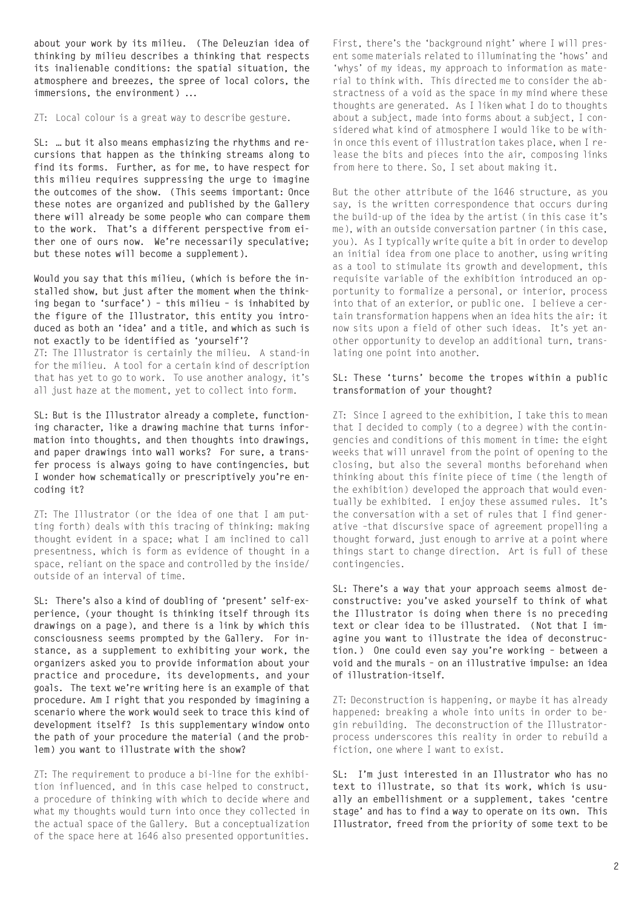**about your work by its milieu. (The Deleuzian idea of thinking by milieu describes a thinking that respects its inalienable conditions: the spatial situation, the atmosphere and breezes, the spree of local colors, the immersions, the environment) ...** 

ZT: Local colour is a great way to describe gesture.

**SL: … but it also means emphasizing the rhythms and recursions that happen as the thinking streams along to find its forms. Further, as for me, to have respect for this milieu requires suppressing the urge to imagine the outcomes of the show. (This seems important: Once these notes are organized and published by the Gallery there will already be some people who can compare them to the work. That's a different perspective from either one of ours now. We're necessarily speculative; but these notes will become a supplement).** 

**Would you say that this milieu, (which is before the installed show, but just after the moment when the thinking began to 'surface') – this milieu – is inhabited by the figure of the Illustrator, this entity you introduced as both an 'idea' and a title, and which as such is not exactly to be identified as 'yourself'?** 

ZT: The Illustrator is certainly the milieu. A stand-in for the milieu. A tool for a certain kind of description that has yet to go to work. To use another analogy, it's all just haze at the moment, yet to collect into form.

**SL: But is the Illustrator already a complete, functioning character, like a drawing machine that turns information into thoughts, and then thoughts into drawings, and paper drawings into wall works? For sure, a transfer process is always going to have contingencies, but I wonder how schematically or prescriptively you're encoding it?** 

ZT: The Illustrator (or the idea of one that I am putting forth) deals with this tracing of thinking: making thought evident in a space; what I am inclined to call presentness, which is form as evidence of thought in a space, reliant on the space and controlled by the inside/ outside of an interval of time.

**SL: There's also a kind of doubling of 'present' self-experience, (your thought is thinking itself through its drawings on a page), and there is a link by which this consciousness seems prompted by the Gallery. For instance, as a supplement to exhibiting your work, the organizers asked you to provide information about your practice and procedure, its developments, and your goals. The text we're writing here is an example of that procedure. Am I right that you responded by imagining a scenario where the work would seek to trace this kind of development itself? Is this supplementary window onto the path of your procedure the material (and the problem) you want to illustrate with the show?** 

ZT: The requirement to produce a bi-line for the exhibition influenced, and in this case helped to construct, a procedure of thinking with which to decide where and what my thoughts would turn into once they collected in the actual space of the Gallery. But a conceptualization of the space here at 1646 also presented opportunities.

First, there's the 'background night' where I will present some materials related to illuminating the 'hows' and 'whys' of my ideas, my approach to information as material to think with. This directed me to consider the abstractness of a void as the space in my mind where these thoughts are generated. As I liken what I do to thoughts about a subject, made into forms about a subject, I considered what kind of atmosphere I would like to be within once this event of illustration takes place, when I release the bits and pieces into the air, composing links from here to there. So, I set about making it.

But the other attribute of the 1646 structure, as you say, is the written correspondence that occurs during the build-up of the idea by the artist (in this case it's me), with an outside conversation partner (in this case, you). As I typically write quite a bit in order to develop an initial idea from one place to another, using writing as a tool to stimulate its growth and development, this requisite variable of the exhibition introduced an opportunity to formalize a personal, or interior, process into that of an exterior, or public one. I believe a certain transformation happens when an idea hits the air: it now sits upon a field of other such ideas. It's yet another opportunity to develop an additional turn, translating one point into another.

# **SL: These 'turns' become the tropes within a public transformation of your thought?**

ZT: Since I agreed to the exhibition, I take this to mean that I decided to comply (to a degree) with the contingencies and conditions of this moment in time: the eight weeks that will unravel from the point of opening to the closing, but also the several months beforehand when thinking about this finite piece of time (the length of the exhibition) developed the approach that would eventually be exhibited. I enjoy these assumed rules. It's the conversation with a set of rules that I find generative –that discursive space of agreement propelling a thought forward, just enough to arrive at a point where things start to change direction. Art is full of these contingencies.

**SL: There's a way that your approach seems almost deconstructive: you've asked yourself to think of what the Illustrator is doing when there is no preceding text or clear idea to be illustrated. (Not that I imagine you want to illustrate the idea of deconstruction.) One could even say you're working – between a void and the murals – on an illustrative impulse: an idea of illustration-itself.** 

ZT: Deconstruction is happening, or maybe it has already happened: breaking a whole into units in order to begin rebuilding. The deconstruction of the Illustratorprocess underscores this reality in order to rebuild a fiction, one where I want to exist.

**SL: I'm just interested in an Illustrator who has no text to illustrate, so that its work, which is usually an embellishment or a supplement, takes 'centre stage' and has to find a way to operate on its own. This Illustrator, freed from the priority of some text to be**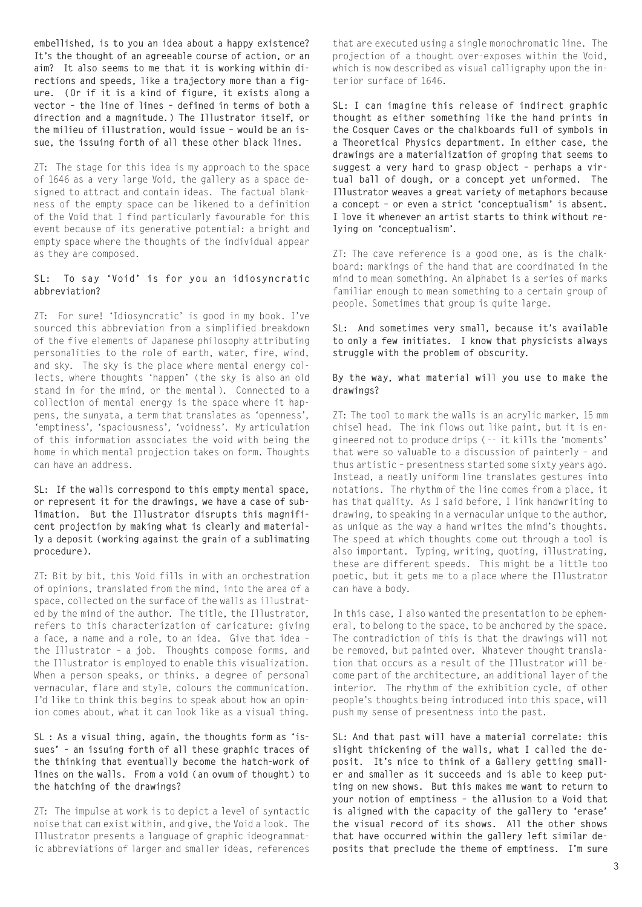**embellished, is to you an idea about a happy existence? It's the thought of an agreeable course of action, or an aim? It also seems to me that it is working within directions and speeds, like a trajectory more than a figure. (Or if it is a kind of figure, it exists along a vector – the line of lines – defined in terms of both a direction and a magnitude.) The Illustrator itself, or the milieu of illustration, would issue – would be an issue, the issuing forth of all these other black lines.** 

ZT: The stage for this idea is my approach to the space of 1646 as a very large Void, the gallery as a space designed to attract and contain ideas. The factual blankness of the empty space can be likened to a definition of the Void that I find particularly favourable for this event because of its generative potential: a bright and empty space where the thoughts of the individual appear as they are composed.

#### **SL: To say 'Void' is for you an idiosyncratic abbreviation?**

ZT: For sure! 'Idiosyncratic' is good in my book. I've sourced this abbreviation from a simplified breakdown of the five elements of Japanese philosophy attributing personalities to the role of earth, water, fire, wind, and sky. The sky is the place where mental energy collects, where thoughts 'happen' (the sky is also an old stand in for the mind, or the mental). Connected to a collection of mental energy is the space where it happens, the sunyata, a term that translates as 'openness', 'emptiness', 'spaciousness', 'voidness'. My articulation of this information associates the void with being the home in which mental projection takes on form. Thoughts can have an address.

**SL: If the walls correspond to this empty mental space, or represent it for the drawings, we have a case of sublimation. But the Illustrator disrupts this magnificent projection by making what is clearly and materially a deposit (working against the grain of a sublimating procedure).** 

ZT: Bit by bit, this Void fills in with an orchestration of opinions, translated from the mind, into the area of a space, collected on the surface of the walls as illustrated by the mind of the author. The title, the Illustrator, refers to this characterization of caricature: giving a face, a name and a role, to an idea. Give that idea – the Illustrator – a job. Thoughts compose forms, and the Illustrator is employed to enable this visualization. When a person speaks, or thinks, a degree of personal vernacular, flare and style, colours the communication. I'd like to think this begins to speak about how an opinion comes about, what it can look like as a visual thing.

**SL : As a visual thing, again, the thoughts form as 'issues' – an issuing forth of all these graphic traces of the thinking that eventually become the hatch-work of lines on the walls. From a void (an ovum of thought) to the hatching of the drawings?** 

ZT: The impulse at work is to depict a level of syntactic noise that can exist within, and give, the Void a look. The Illustrator presents a language of graphic ideogrammatic abbreviations of larger and smaller ideas, references

that are executed using a single monochromatic line. The projection of a thought over-exposes within the Void, which is now described as visual calligraphy upon the interior surface of 1646.

**SL: I can imagine this release of indirect graphic thought as either something like the hand prints in the Cosquer Caves or the chalkboards full of symbols in a Theoretical Physics department. In either case, the drawings are a materialization of groping that seems to suggest a very hard to grasp object – perhaps a virtual ball of dough, or a concept yet unformed. The Illustrator weaves a great variety of metaphors because a concept – or even a strict 'conceptualism' is absent. I love it whenever an artist starts to think without relying on 'conceptualism'.** 

ZT: The cave reference is a good one, as is the chalkboard: markings of the hand that are coordinated in the mind to mean something. An alphabet is a series of marks familiar enough to mean something to a certain group of people. Sometimes that group is quite large.

## **SL: And sometimes very small, because it's available to only a few initiates. I know that physicists always struggle with the problem of obscurity.**

## **By the way, what material will you use to make the drawings?**

ZT: The tool to mark the walls is an acrylic marker, 15 mm chisel head. The ink flows out like paint, but it is engineered not to produce drips (-- it kills the 'moments' that were so valuable to a discussion of painterly – and thus artistic – presentness started some sixty years ago. Instead, a neatly uniform line translates gestures into notations. The rhythm of the line comes from a place, it has that quality. As I said before, I link handwriting to drawing, to speaking in a vernacular unique to the author, as unique as the way a hand writes the mind's thoughts. The speed at which thoughts come out through a tool is also important. Typing, writing, quoting, illustrating, these are different speeds. This might be a little too poetic, but it gets me to a place where the Illustrator can have a body.

In this case, I also wanted the presentation to be ephemeral, to belong to the space, to be anchored by the space. The contradiction of this is that the drawings will not be removed, but painted over. Whatever thought translation that occurs as a result of the Illustrator will become part of the architecture, an additional layer of the interior. The rhythm of the exhibition cycle, of other people's thoughts being introduced into this space, will push my sense of presentness into the past.

**SL: And that past will have a material correlate: this slight thickening of the walls, what I called the deposit. It's nice to think of a Gallery getting smaller and smaller as it succeeds and is able to keep putting on new shows. But this makes me want to return to your notion of emptiness – the allusion to a Void that is aligned with the capacity of the gallery to 'erase' the visual record of its shows. All the other shows that have occurred within the gallery left similar deposits that preclude the theme of emptiness. I'm sure**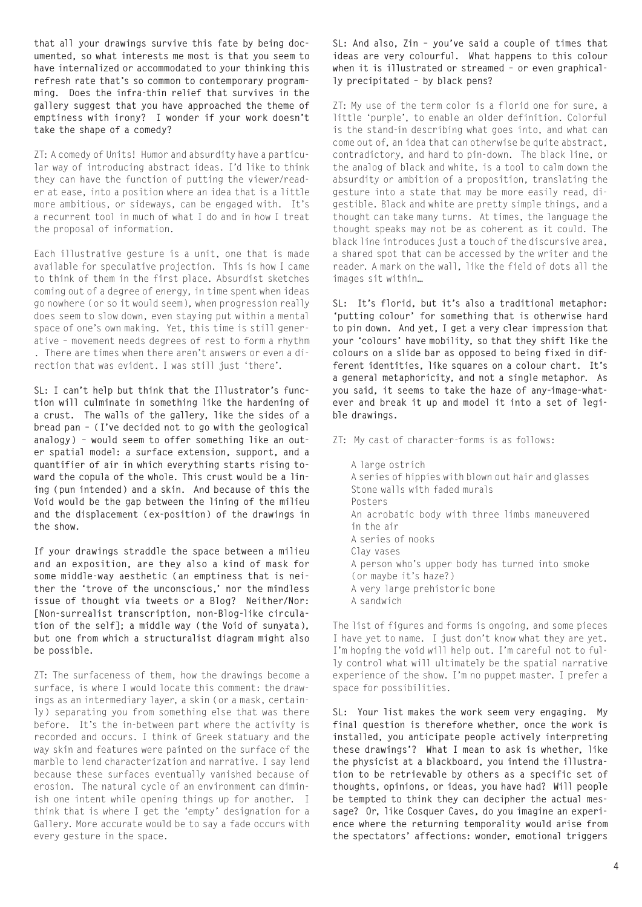**that all your drawings survive this fate by being documented, so what interests me most is that you seem to have internalized or accommodated to your thinking this refresh rate that's so common to contemporary programming. Does the infra-thin relief that survives in the gallery suggest that you have approached the theme of emptiness with irony? I wonder if your work doesn't take the shape of a comedy?** 

ZT: A comedy of Units! Humor and absurdity have a particular way of introducing abstract ideas. I'd like to think they can have the function of putting the viewer/reader at ease, into a position where an idea that is a little more ambitious, or sideways, can be engaged with. It's a recurrent tool in much of what I do and in how I treat the proposal of information.

Each illustrative gesture is a unit, one that is made available for speculative projection. This is how I came to think of them in the first place. Absurdist sketches coming out of a degree of energy, in time spent when ideas go nowhere (or so it would seem), when progression really does seem to slow down, even staying put within a mental space of one's own making. Yet, this time is still generative – movement needs degrees of rest to form a rhythm . There are times when there aren't answers or even a direction that was evident. I was still just 'there'.

**SL: I can't help but think that the Illustrator's function will culminate in something like the hardening of a crust. The walls of the gallery, like the sides of a bread pan – (I've decided not to go with the geological analogy) – would seem to offer something like an outer spatial model: a surface extension, support, and a quantifier of air in which everything starts rising toward the copula of the whole. This crust would be a lining (pun intended) and a skin. And because of this the Void would be the gap between the lining of the milieu and the displacement (ex-position) of the drawings in the show.** 

**If your drawings straddle the space between a milieu and an exposition, are they also a kind of mask for some middle-way aesthetic (an emptiness that is neither the 'trove of the unconscious,' nor the mindless issue of thought via tweets or a Blog? Neither/Nor: [Non-surrealist transcription, non-Blog-like circulation of the self]; a middle way (the Void of sunyata), but one from which a structuralist diagram might also be possible.**

ZT: The surfaceness of them, how the drawings become a surface, is where I would locate this comment: the drawings as an intermediary layer, a skin (or a mask, certainly) separating you from something else that was there before. It's the in-between part where the activity is recorded and occurs. I think of Greek statuary and the way skin and features were painted on the surface of the marble to lend characterization and narrative. I say lend because these surfaces eventually vanished because of erosion. The natural cycle of an environment can diminish one intent while opening things up for another. I think that is where I get the 'empty' designation for a Gallery. More accurate would be to say a fade occurs with every gesture in the space.

**SL: And also, Zin – you've said a couple of times that ideas are very colourful. What happens to this colour when it is illustrated or streamed – or even graphically precipitated – by black pens?**

ZT: My use of the term color is a florid one for sure, a little 'purple', to enable an older definition. Colorful is the stand-in describing what goes into, and what can come out of, an idea that can otherwise be quite abstract, contradictory, and hard to pin-down. The black line, or the analog of black and white, is a tool to calm down the absurdity or ambition of a proposition, translating the gesture into a state that may be more easily read, digestible. Black and white are pretty simple things, and a thought can take many turns. At times, the language the thought speaks may not be as coherent as it could. The black line introduces just a touch of the discursive area, a shared spot that can be accessed by the writer and the reader. A mark on the wall, like the field of dots all the images sit within…

**SL: It's florid, but it's also a traditional metaphor: 'putting colour' for something that is otherwise hard to pin down. And yet, I get a very clear impression that your 'colours' have mobility, so that they shift like the colours on a slide bar as opposed to being fixed in different identities, like squares on a colour chart. It's a general metaphoricity, and not a single metaphor. As you said, it seems to take the haze of any-image-whatever and break it up and model it into a set of legible drawings.**

ZT: My cast of character-forms is as follows:

A large ostrich A series of hippies with blown out hair and glasses Stone walls with faded murals Posters An acrobatic body with three limbs maneuvered in the air A series of nooks Clay vases A person who's upper body has turned into smoke (or maybe it's haze?) A very large prehistoric bone A sandwich

The list of figures and forms is ongoing, and some pieces I have yet to name. I just don't know what they are yet. I'm hoping the void will help out. I'm careful not to fully control what will ultimately be the spatial narrative experience of the show. I'm no puppet master. I prefer a space for possibilities.

**SL: Your list makes the work seem very engaging. My final question is therefore whether, once the work is installed, you anticipate people actively interpreting these drawings'? What I mean to ask is whether, like the physicist at a blackboard, you intend the illustration to be retrievable by others as a specific set of thoughts, opinions, or ideas, you have had? Will people be tempted to think they can decipher the actual message? Or, like Cosquer Caves, do you imagine an experience where the returning temporality would arise from the spectators' affections: wonder, emotional triggers**